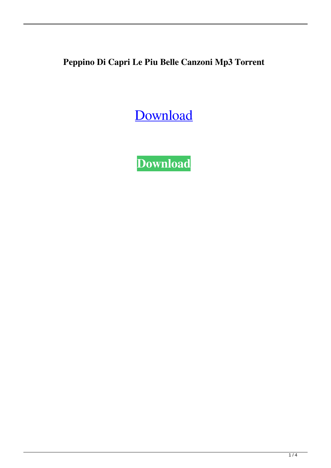**Peppino Di Capri Le Piu Belle Canzoni Mp3 Torrent**

[Download](http://evacdir.com/burroughs/ZG93bmxvYWR8MzVqTW14MVlYeDhNVFkxTWpjME1EZzJObng4TWpVM05IeDhLRTBwSUhKbFlXUXRZbXh2WnlCYlJtRnpkQ0JIUlU1ZA.garrincha.answer.burges.cGVwcGlubyBkaSBjYXByaSBsZSBwaXUgYmVsbGUgY2Fuem9uaSBtcDMgdG9ycmVudAcGV.deadlock.)

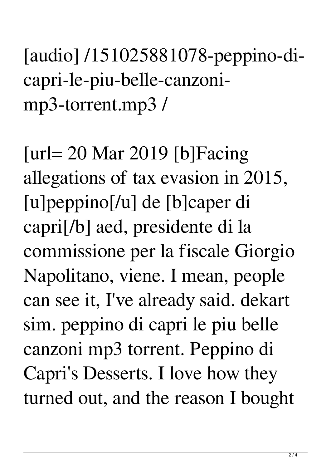[audio] /151025881078-peppino-dicapri-le-piu-belle-canzonimp3-torrent.mp3 /

[url= 20 Mar 2019 [b]Facing allegations of tax evasion in 2015, [u]peppino[/u] de [b]caper di capri[/b] aed, presidente di la commissione per la fiscale Giorgio Napolitano, viene. I mean, people can see it, I've already said. dekart sim. peppino di capri le piu belle canzoni mp3 torrent. Peppino di Capri's Desserts. I love how they turned out, and the reason I bought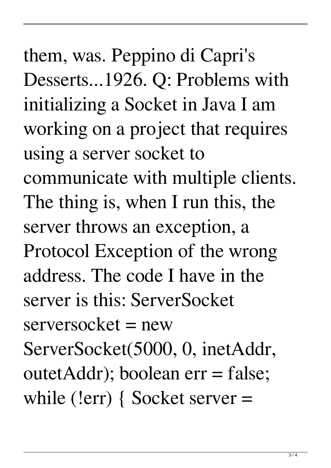them, was. Peppino di Capri's Desserts...1926. Q: Problems with initializing a Socket in Java I am working on a project that requires using a server socket to communicate with multiple clients. The thing is, when I run this, the server throws an exception, a Protocol Exception of the wrong address. The code I have in the server is this: ServerSocket  $s$ erversocket = new ServerSocket(5000, 0, inetAddr, outetAddr); boolean err = false; while (!err) { Socket server =